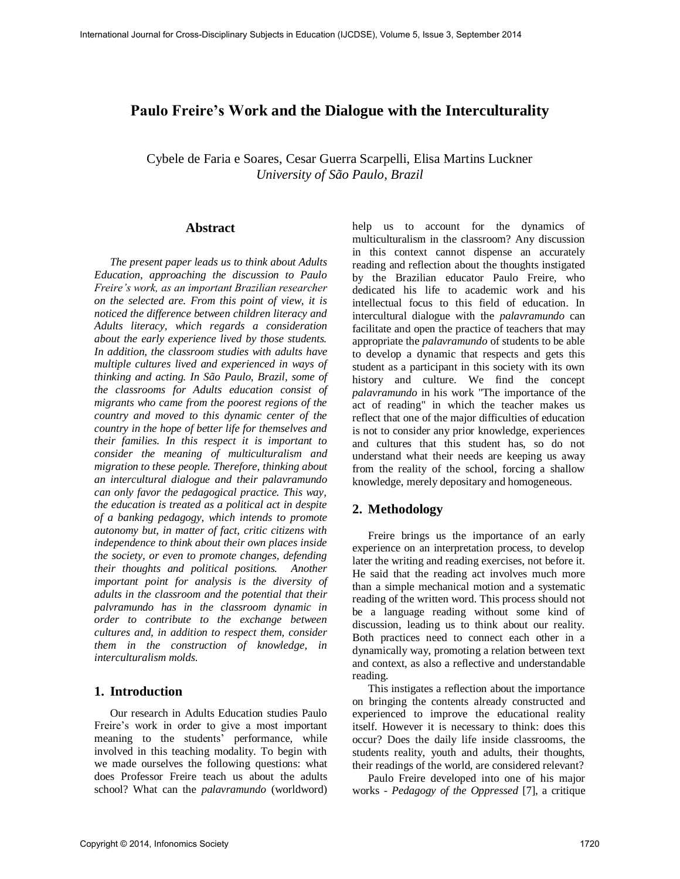# **Paulo Freire's Work and the Dialogue with the Interculturality**

Cybele de Faria e Soares, Cesar Guerra Scarpelli, Elisa Martins Luckner *University of São Paulo, Brazil*

#### **Abstract**

*The present paper leads us to think about Adults Education, approaching the discussion to Paulo Freire's work, as an important Brazilian researcher on the selected are. From this point of view, it is noticed the difference between children literacy and Adults literacy, which regards a consideration about the early experience lived by those students. In addition, the classroom studies with adults have multiple cultures lived and experienced in ways of thinking and acting. In São Paulo, Brazil, some of the classrooms for Adults education consist of migrants who came from the poorest regions of the country and moved to this dynamic center of the country in the hope of better life for themselves and their families. In this respect it is important to consider the meaning of multiculturalism and migration to these people. Therefore, thinking about an intercultural dialogue and their palavramundo can only favor the pedagogical practice. This way, the education is treated as a political act in despite of a banking pedagogy, which intends to promote autonomy but, in matter of fact, critic citizens with independence to think about their own places inside the society, or even to promote changes, defending their thoughts and political positions. Another important point for analysis is the diversity of adults in the classroom and the potential that their palvramundo has in the classroom dynamic in order to contribute to the exchange between cultures and, in addition to respect them, consider them in the construction of knowledge, in interculturalism molds.* 

## **1. Introduction**

Our research in Adults Education studies Paulo Freire's work in order to give a most important meaning to the students' performance, while involved in this teaching modality. To begin with we made ourselves the following questions: what does Professor Freire teach us about the adults school? What can the *palavramundo* (worldword) help us to account for the dynamics of multiculturalism in the classroom? Any discussion in this context cannot dispense an accurately reading and reflection about the thoughts instigated by the Brazilian educator Paulo Freire, who dedicated his life to academic work and his intellectual focus to this field of education. In intercultural dialogue with the *palavramundo* can facilitate and open the practice of teachers that may appropriate the *palavramundo* of students to be able to develop a dynamic that respects and gets this student as a participant in this society with its own history and culture. We find the concept *palavramundo* in his work "The importance of the act of reading" in which the teacher makes us reflect that one of the major difficulties of education is not to consider any prior knowledge, experiences and cultures that this student has, so do not understand what their needs are keeping us away from the reality of the school, forcing a shallow knowledge, merely depositary and homogeneous.

### **2. Methodology**

Freire brings us the importance of an early experience on an interpretation process, to develop later the writing and reading exercises, not before it. He said that the reading act involves much more than a simple mechanical motion and a systematic reading of the written word. This process should not be a language reading without some kind of discussion, leading us to think about our reality. Both practices need to connect each other in a dynamically way, promoting a relation between text and context, as also a reflective and understandable reading.

This instigates a reflection about the importance on bringing the contents already constructed and experienced to improve the educational reality itself. However it is necessary to think: does this occur? Does the daily life inside classrooms, the students reality, youth and adults, their thoughts, their readings of the world, are considered relevant?

Paulo Freire developed into one of his major works - *Pedagogy of the Oppressed* [7], a critique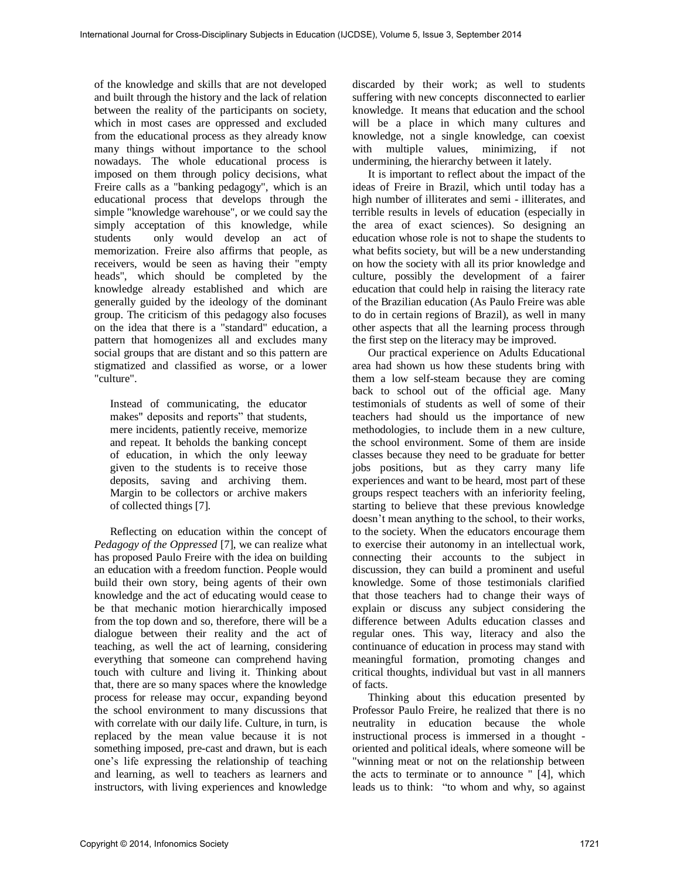of the knowledge and skills that are not developed and built through the history and the lack of relation between the reality of the participants on society, which in most cases are oppressed and excluded from the educational process as they already know many things without importance to the school nowadays. The whole educational process is imposed on them through policy decisions, what Freire calls as a "banking pedagogy", which is an educational process that develops through the simple "knowledge warehouse", or we could say the simply acceptation of this knowledge, while students only would develop an act of memorization. Freire also affirms that people, as receivers, would be seen as having their "empty heads", which should be completed by the knowledge already established and which are generally guided by the ideology of the dominant group. The criticism of this pedagogy also focuses on the idea that there is a "standard" education, a pattern that homogenizes all and excludes many social groups that are distant and so this pattern are stigmatized and classified as worse, or a lower "culture".

Instead of communicating, the educator makes" deposits and reports" that students, mere incidents, patiently receive, memorize and repeat. It beholds the banking concept of education, in which the only leeway given to the students is to receive those deposits, saving and archiving them. Margin to be collectors or archive makers of collected things [7].

Reflecting on education within the concept of *Pedagogy of the Oppressed* [7], we can realize what has proposed Paulo Freire with the idea on building an education with a freedom function. People would build their own story, being agents of their own knowledge and the act of educating would cease to be that mechanic motion hierarchically imposed from the top down and so, therefore, there will be a dialogue between their reality and the act of teaching, as well the act of learning, considering everything that someone can comprehend having touch with culture and living it. Thinking about that, there are so many spaces where the knowledge process for release may occur, expanding beyond the school environment to many discussions that with correlate with our daily life. Culture, in turn, is replaced by the mean value because it is not something imposed, pre-cast and drawn, but is each one's life expressing the relationship of teaching and learning, as well to teachers as learners and instructors, with living experiences and knowledge

discarded by their work; as well to students suffering with new concepts disconnected to earlier knowledge. It means that education and the school will be a place in which many cultures and knowledge, not a single knowledge, can coexist with multiple values, minimizing, if not undermining, the hierarchy between it lately.

It is important to reflect about the impact of the ideas of Freire in Brazil, which until today has a high number of illiterates and semi - illiterates, and terrible results in levels of education (especially in the area of exact sciences). So designing an education whose role is not to shape the students to what befits society, but will be a new understanding on how the society with all its prior knowledge and culture, possibly the development of a fairer education that could help in raising the literacy rate of the Brazilian education (As Paulo Freire was able to do in certain regions of Brazil), as well in many other aspects that all the learning process through the first step on the literacy may be improved.

Our practical experience on Adults Educational area had shown us how these students bring with them a low self-steam because they are coming back to school out of the official age. Many testimonials of students as well of some of their teachers had should us the importance of new methodologies, to include them in a new culture, the school environment. Some of them are inside classes because they need to be graduate for better jobs positions, but as they carry many life experiences and want to be heard, most part of these groups respect teachers with an inferiority feeling, starting to believe that these previous knowledge doesn't mean anything to the school, to their works, to the society. When the educators encourage them to exercise their autonomy in an intellectual work, connecting their accounts to the subject in discussion, they can build a prominent and useful knowledge. Some of those testimonials clarified that those teachers had to change their ways of explain or discuss any subject considering the difference between Adults education classes and regular ones. This way, literacy and also the continuance of education in process may stand with meaningful formation, promoting changes and critical thoughts, individual but vast in all manners of facts.

Thinking about this education presented by Professor Paulo Freire, he realized that there is no neutrality in education because the whole instructional process is immersed in a thought oriented and political ideals, where someone will be "winning meat or not on the relationship between the acts to terminate or to announce " [4], which leads us to think: "to whom and why, so against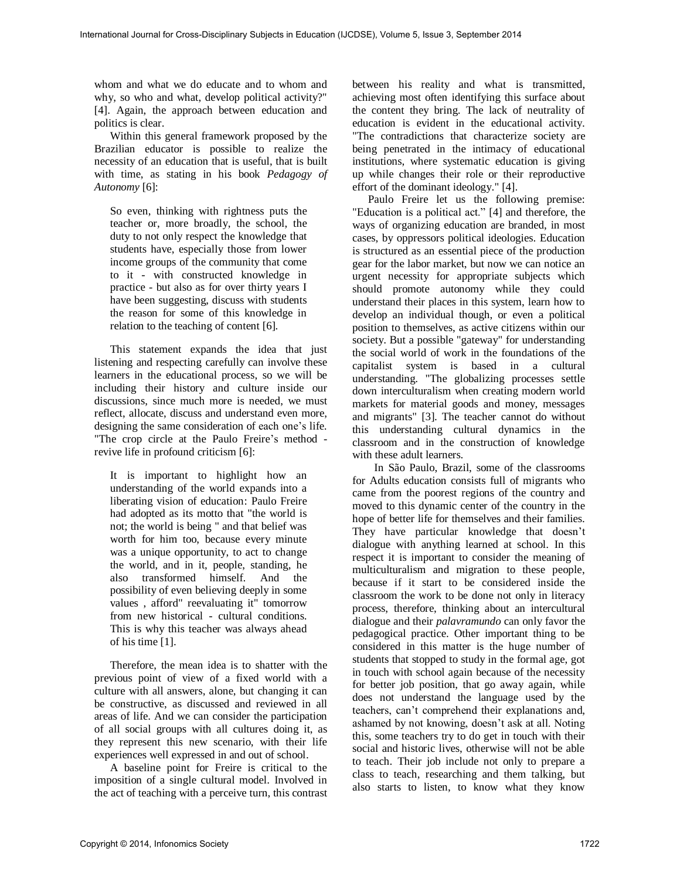whom and what we do educate and to whom and why, so who and what, develop political activity?" [4]. Again, the approach between education and politics is clear.

Within this general framework proposed by the Brazilian educator is possible to realize the necessity of an education that is useful, that is built with time, as stating in his book *Pedagogy of Autonomy* [6]:

So even, thinking with rightness puts the teacher or, more broadly, the school, the duty to not only respect the knowledge that students have, especially those from lower income groups of the community that come to it - with constructed knowledge in practice - but also as for over thirty years I have been suggesting, discuss with students the reason for some of this knowledge in relation to the teaching of content [6].

This statement expands the idea that just listening and respecting carefully can involve these learners in the educational process, so we will be including their history and culture inside our discussions, since much more is needed, we must reflect, allocate, discuss and understand even more, designing the same consideration of each one's life. "The crop circle at the Paulo Freire's method revive life in profound criticism [6]:

It is important to highlight how an understanding of the world expands into a liberating vision of education: Paulo Freire had adopted as its motto that "the world is not; the world is being " and that belief was worth for him too, because every minute was a unique opportunity, to act to change the world, and in it, people, standing, he also transformed himself. And the possibility of even believing deeply in some values , afford" reevaluating it" tomorrow from new historical - cultural conditions. This is why this teacher was always ahead of his time [1].

Therefore, the mean idea is to shatter with the previous point of view of a fixed world with a culture with all answers, alone, but changing it can be constructive, as discussed and reviewed in all areas of life. And we can consider the participation of all social groups with all cultures doing it, as they represent this new scenario, with their life experiences well expressed in and out of school.

A baseline point for Freire is critical to the imposition of a single cultural model. Involved in the act of teaching with a perceive turn, this contrast

between his reality and what is transmitted, achieving most often identifying this surface about the content they bring. The lack of neutrality of education is evident in the educational activity. "The contradictions that characterize society are being penetrated in the intimacy of educational institutions, where systematic education is giving up while changes their role or their reproductive effort of the dominant ideology." [4].

Paulo Freire let us the following premise: "Education is a political act." [4] and therefore, the ways of organizing education are branded, in most cases, by oppressors political ideologies. Education is structured as an essential piece of the production gear for the labor market, but now we can notice an urgent necessity for appropriate subjects which should promote autonomy while they could understand their places in this system, learn how to develop an individual though, or even a political position to themselves, as active citizens within our society. But a possible "gateway" for understanding the social world of work in the foundations of the capitalist system is based in a cultural understanding. "The globalizing processes settle down interculturalism when creating modern world markets for material goods and money, messages and migrants" [3]. The teacher cannot do without this understanding cultural dynamics in the classroom and in the construction of knowledge with these adult learners.

In São Paulo, Brazil, some of the classrooms for Adults education consists full of migrants who came from the poorest regions of the country and moved to this dynamic center of the country in the hope of better life for themselves and their families. They have particular knowledge that doesn't dialogue with anything learned at school. In this respect it is important to consider the meaning of multiculturalism and migration to these people, because if it start to be considered inside the classroom the work to be done not only in literacy process, therefore, thinking about an intercultural dialogue and their *palavramundo* can only favor the pedagogical practice. Other important thing to be considered in this matter is the huge number of students that stopped to study in the formal age, got in touch with school again because of the necessity for better job position, that go away again, while does not understand the language used by the teachers, can't comprehend their explanations and, ashamed by not knowing, doesn't ask at all. Noting this, some teachers try to do get in touch with their social and historic lives, otherwise will not be able to teach. Their job include not only to prepare a class to teach, researching and them talking, but also starts to listen, to know what they know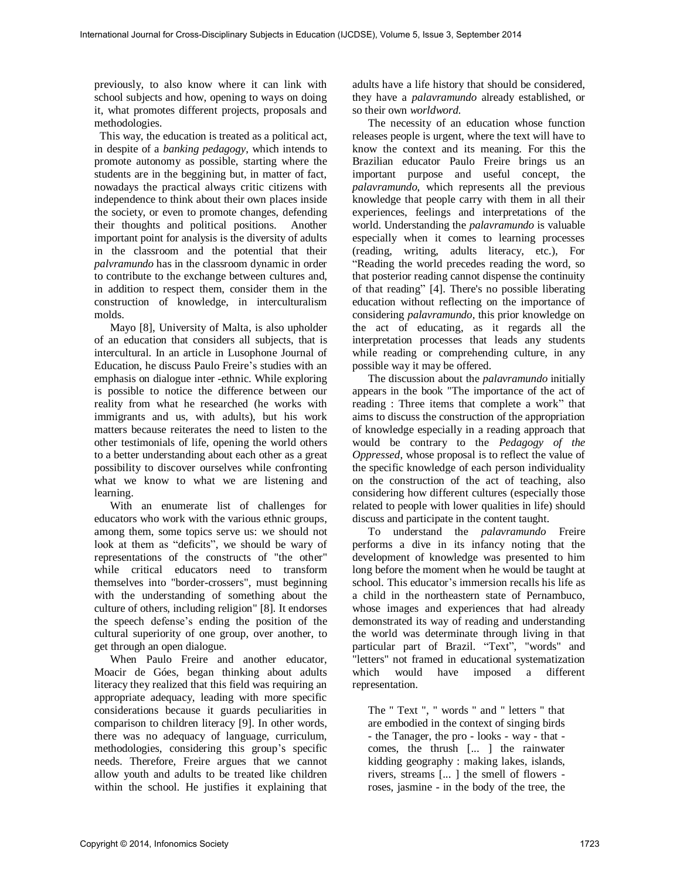previously, to also know where it can link with school subjects and how, opening to ways on doing it, what promotes different projects, proposals and methodologies.

 This way, the education is treated as a political act, in despite of a *banking pedagogy*, which intends to promote autonomy as possible, starting where the students are in the beggining but, in matter of fact, nowadays the practical always critic citizens with independence to think about their own places inside the society, or even to promote changes, defending their thoughts and political positions. Another important point for analysis is the diversity of adults in the classroom and the potential that their *palvramundo* has in the classroom dynamic in order to contribute to the exchange between cultures and, in addition to respect them, consider them in the construction of knowledge, in interculturalism molds.

Mayo [8], University of Malta, is also upholder of an education that considers all subjects, that is intercultural. In an article in Lusophone Journal of Education, he discuss Paulo Freire's studies with an emphasis on dialogue inter -ethnic. While exploring is possible to notice the difference between our reality from what he researched (he works with immigrants and us, with adults), but his work matters because reiterates the need to listen to the other testimonials of life, opening the world others to a better understanding about each other as a great possibility to discover ourselves while confronting what we know to what we are listening and learning.

With an enumerate list of challenges for educators who work with the various ethnic groups, among them, some topics serve us: we should not look at them as "deficits", we should be wary of representations of the constructs of "the other" while critical educators need to transform themselves into "border-crossers", must beginning with the understanding of something about the culture of others, including religion" [8]. It endorses the speech defense's ending the position of the cultural superiority of one group, over another, to get through an open dialogue.

When Paulo Freire and another educator, Moacir de Góes, began thinking about adults literacy they realized that this field was requiring an appropriate adequacy, leading with more specific considerations because it guards peculiarities in comparison to children literacy [9]. In other words, there was no adequacy of language, curriculum, methodologies, considering this group's specific needs. Therefore, Freire argues that we cannot allow youth and adults to be treated like children within the school. He justifies it explaining that

adults have a life history that should be considered, they have a *palavramundo* already established, or so their own *worldword.* 

The necessity of an education whose function releases people is urgent, where the text will have to know the context and its meaning. For this the Brazilian educator Paulo Freire brings us an important purpose and useful concept, the *palavramundo*, which represents all the previous knowledge that people carry with them in all their experiences, feelings and interpretations of the world. Understanding the *palavramundo* is valuable especially when it comes to learning processes (reading, writing, adults literacy, etc.), For "Reading the world precedes reading the word, so that posterior reading cannot dispense the continuity of that reading" [4]. There's no possible liberating education without reflecting on the importance of considering *palavramundo*, this prior knowledge on the act of educating, as it regards all the interpretation processes that leads any students while reading or comprehending culture, in any possible way it may be offered.

The discussion about the *palavramundo* initially appears in the book "The importance of the act of reading : Three items that complete a work" that aims to discuss the construction of the appropriation of knowledge especially in a reading approach that would be contrary to the *Pedagogy of the Oppressed*, whose proposal is to reflect the value of the specific knowledge of each person individuality on the construction of the act of teaching, also considering how different cultures (especially those related to people with lower qualities in life) should discuss and participate in the content taught.

To understand the *palavramundo* Freire performs a dive in its infancy noting that the development of knowledge was presented to him long before the moment when he would be taught at school. This educator's immersion recalls his life as a child in the northeastern state of Pernambuco, whose images and experiences that had already demonstrated its way of reading and understanding the world was determinate through living in that particular part of Brazil. "Text", "words" and "letters" not framed in educational systematization which would have imposed a different representation.

The " Text ", " words " and " letters " that are embodied in the context of singing birds - the Tanager, the pro - looks - way - that comes, the thrush [... ] the rainwater kidding geography : making lakes, islands, rivers, streams [... ] the smell of flowers roses, jasmine - in the body of the tree, the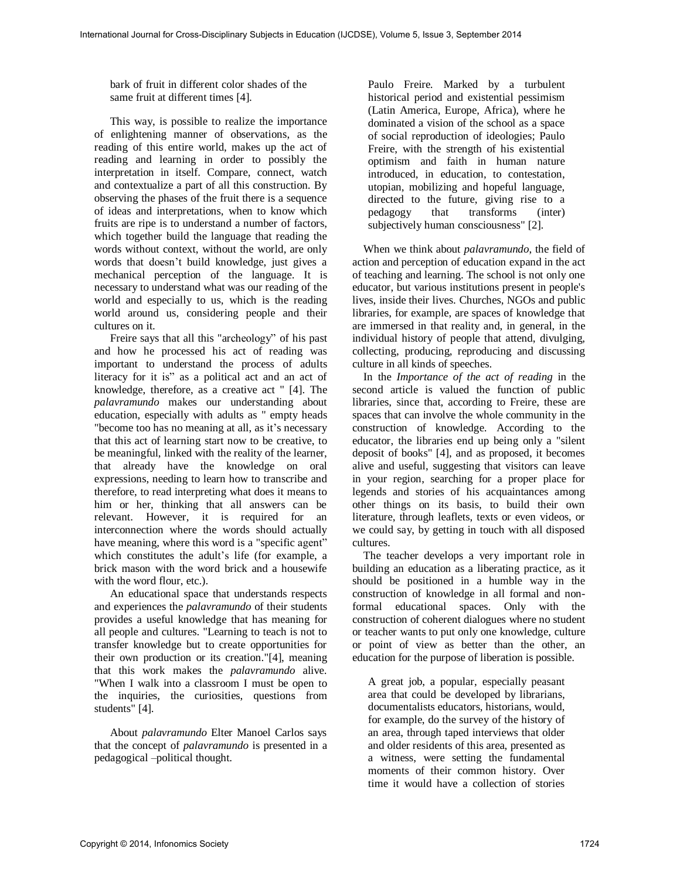bark of fruit in different color shades of the same fruit at different times [4].

This way, is possible to realize the importance of enlightening manner of observations, as the reading of this entire world, makes up the act of reading and learning in order to possibly the interpretation in itself. Compare, connect, watch and contextualize a part of all this construction. By observing the phases of the fruit there is a sequence of ideas and interpretations, when to know which fruits are ripe is to understand a number of factors, which together build the language that reading the words without context, without the world, are only words that doesn't build knowledge, just gives a mechanical perception of the language. It is necessary to understand what was our reading of the world and especially to us, which is the reading world around us, considering people and their cultures on it.

Freire says that all this "archeology" of his past and how he processed his act of reading was important to understand the process of adults literacy for it is" as a political act and an act of knowledge, therefore, as a creative act " [4]. The *palavramundo* makes our understanding about education, especially with adults as " empty heads "become too has no meaning at all, as it's necessary that this act of learning start now to be creative, to be meaningful, linked with the reality of the learner, that already have the knowledge on oral expressions, needing to learn how to transcribe and therefore, to read interpreting what does it means to him or her, thinking that all answers can be relevant. However, it is required for an interconnection where the words should actually have meaning, where this word is a "specific agent" which constitutes the adult's life (for example, a brick mason with the word brick and a housewife with the word flour, etc.).

An educational space that understands respects and experiences the *palavramundo* of their students provides a useful knowledge that has meaning for all people and cultures. "Learning to teach is not to transfer knowledge but to create opportunities for their own production or its creation."[4], meaning that this work makes the *palavramundo* alive. "When I walk into a classroom I must be open to the inquiries, the curiosities, questions from students" [4].

About *palavramundo* Elter Manoel Carlos says that the concept of *palavramundo* is presented in a pedagogical –political thought.

Paulo Freire. Marked by a turbulent historical period and existential pessimism (Latin America, Europe, Africa), where he dominated a vision of the school as a space of social reproduction of ideologies; Paulo Freire, with the strength of his existential optimism and faith in human nature introduced, in education, to contestation, utopian, mobilizing and hopeful language, directed to the future, giving rise to a pedagogy that transforms (inter) subjectively human consciousness" [2].

 When we think about *palavramundo*, the field of action and perception of education expand in the act of teaching and learning. The school is not only one educator, but various institutions present in people's lives, inside their lives. Churches, NGOs and public libraries, for example, are spaces of knowledge that are immersed in that reality and, in general, in the individual history of people that attend, divulging, collecting, producing, reproducing and discussing culture in all kinds of speeches.

 In the *Importance of the act of reading* in the second article is valued the function of public libraries, since that, according to Freire, these are spaces that can involve the whole community in the construction of knowledge. According to the educator, the libraries end up being only a "silent deposit of books" [4], and as proposed, it becomes alive and useful, suggesting that visitors can leave in your region, searching for a proper place for legends and stories of his acquaintances among other things on its basis, to build their own literature, through leaflets, texts or even videos, or we could say, by getting in touch with all disposed cultures.

 The teacher develops a very important role in building an education as a liberating practice, as it should be positioned in a humble way in the construction of knowledge in all formal and nonformal educational spaces. Only with the construction of coherent dialogues where no student or teacher wants to put only one knowledge, culture or point of view as better than the other, an education for the purpose of liberation is possible.

A great job, a popular, especially peasant area that could be developed by librarians, documentalists educators, historians, would, for example, do the survey of the history of an area, through taped interviews that older and older residents of this area, presented as a witness, were setting the fundamental moments of their common history. Over time it would have a collection of stories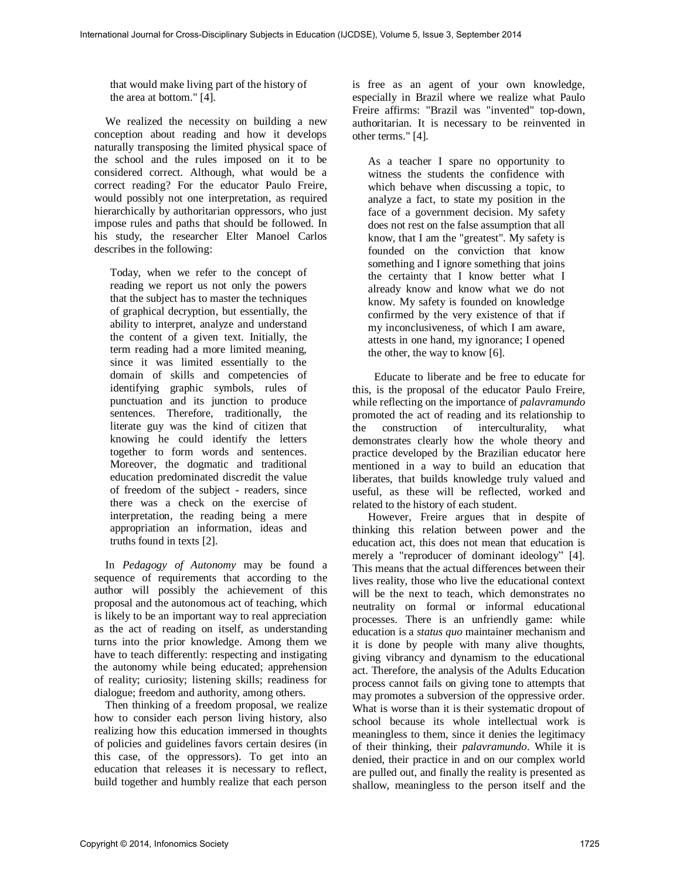that would make living part of the history of the area at bottom." [4].

 We realized the necessity on building a new conception about reading and how it develops naturally transposing the limited physical space of the school and the rules imposed on it to be considered correct. Although, what would be a correct reading? For the educator Paulo Freire, would possibly not one interpretation, as required hierarchically by authoritarian oppressors, who just impose rules and paths that should be followed. In his study, the researcher Elter Manoel Carlos describes in the following:

Today, when we refer to the concept of reading we report us not only the powers that the subject has to master the techniques of graphical decryption, but essentially, the ability to interpret, analyze and understand the content of a given text. Initially, the term reading had a more limited meaning, since it was limited essentially to the domain of skills and competencies of identifying graphic symbols, rules of punctuation and its junction to produce sentences. Therefore, traditionally, the literate guy was the kind of citizen that knowing he could identify the letters together to form words and sentences. Moreover, the dogmatic and traditional education predominated discredit the value of freedom of the subject - readers, since there was a check on the exercise of interpretation, the reading being a mere appropriation an information, ideas and truths found in texts [2].

 In *Pedagogy of Autonomy* may be found a sequence of requirements that according to the author will possibly the achievement of this proposal and the autonomous act of teaching, which is likely to be an important way to real appreciation as the act of reading on itself, as understanding turns into the prior knowledge. Among them we have to teach differently: respecting and instigating the autonomy while being educated; apprehension of reality; curiosity; listening skills; readiness for dialogue; freedom and authority, among others.

 Then thinking of a freedom proposal, we realize how to consider each person living history, also realizing how this education immersed in thoughts of policies and guidelines favors certain desires (in this case, of the oppressors). To get into an education that releases it is necessary to reflect, build together and humbly realize that each person

is free as an agent of your own knowledge, especially in Brazil where we realize what Paulo Freire affirms: "Brazil was "invented" top-down, authoritarian. It is necessary to be reinvented in other terms." [4].

As a teacher I spare no opportunity to witness the students the confidence with which behave when discussing a topic, to analyze a fact, to state my position in the face of a government decision. My safety does not rest on the false assumption that all know, that I am the "greatest". My safety is founded on the conviction that know something and I ignore something that joins the certainty that I know better what I already know and know what we do not know. My safety is founded on knowledge confirmed by the very existence of that if my inconclusiveness, of which I am aware, attests in one hand, my ignorance; I opened the other, the way to know [6].

 Educate to liberate and be free to educate for this, is the proposal of the educator Paulo Freire, while reflecting on the importance of *palavramundo*  promoted the act of reading and its relationship to the construction of interculturality, what demonstrates clearly how the whole theory and practice developed by the Brazilian educator here mentioned in a way to build an education that liberates, that builds knowledge truly valued and useful, as these will be reflected, worked and related to the history of each student.

However, Freire argues that in despite of thinking this relation between power and the education act, this does not mean that education is merely a "reproducer of dominant ideology" [4]. This means that the actual differences between their lives reality, those who live the educational context will be the next to teach, which demonstrates no neutrality on formal or informal educational processes. There is an unfriendly game: while education is a *status quo* maintainer mechanism and it is done by people with many alive thoughts, giving vibrancy and dynamism to the educational act. Therefore, the analysis of the Adults Education process cannot fails on giving tone to attempts that may promotes a subversion of the oppressive order. What is worse than it is their systematic dropout of school because its whole intellectual work is meaningless to them, since it denies the legitimacy of their thinking, their *palavramundo*. While it is denied, their practice in and on our complex world are pulled out, and finally the reality is presented as shallow, meaningless to the person itself and the